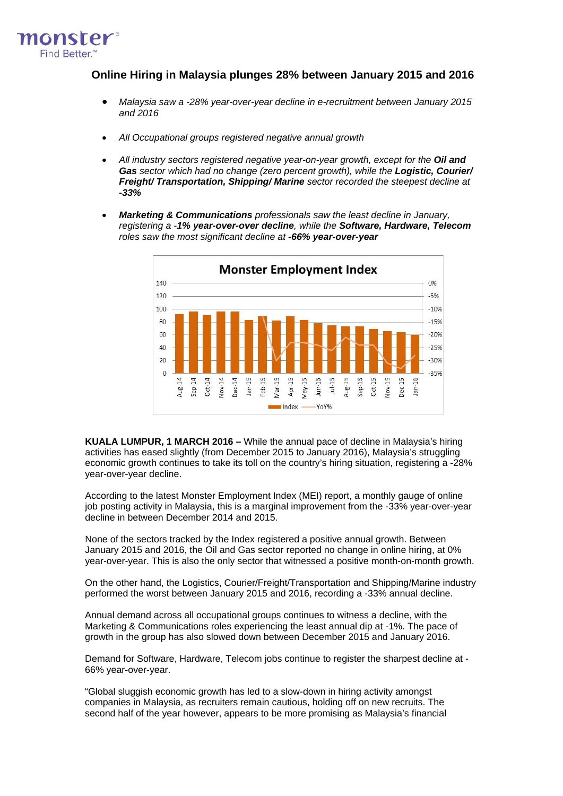

# **Online Hiring in Malaysia plunges 28% between January 2015 and 2016**

- *Malaysia saw a -28% year-over-year decline in e-recruitment between January 2015 and 2016*
- *All Occupational groups registered negative annual growth*
- All industry sectors registered negative year-on-year growth, except for the Oil and *Gas sector which had no change (zero percent growth), while the Logistic, Courier/ Freight/ Transportation, Shipping/ Marine sector recorded the steepest decline at -33%*
- *Marketing & Communications professionals saw the least decline in January, registering a -1% year-over-over decline, while the Software, Hardware, Telecom roles saw the most significant decline at -66% year-over-year*



**KUALA LUMPUR, 1 MARCH 2016 –** While the annual pace of decline in Malaysia's hiring activities has eased slightly (from December 2015 to January 2016), Malaysia's struggling economic growth continues to take its toll on the country's hiring situation, registering a -28% year-over-year decline.

According to the latest Monster Employment Index (MEI) report, a monthly gauge of online job posting activity in Malaysia, this is a marginal improvement from the -33% year-over-year decline in between December 2014 and 2015.

None of the sectors tracked by the Index registered a positive annual growth. Between January 2015 and 2016, the Oil and Gas sector reported no change in online hiring, at 0% year-over-year. This is also the only sector that witnessed a positive month-on-month growth.

On the other hand, the Logistics, Courier/Freight/Transportation and Shipping/Marine industry performed the worst between January 2015 and 2016, recording a -33% annual decline.

Annual demand across all occupational groups continues to witness a decline, with the Marketing & Communications roles experiencing the least annual dip at -1%. The pace of growth in the group has also slowed down between December 2015 and January 2016.

Demand for Software, Hardware, Telecom jobs continue to register the sharpest decline at - 66% year-over-year.

"Global sluggish economic growth has led to a slow-down in hiring activity amongst companies in Malaysia, as recruiters remain cautious, holding off on new recruits. The second half of the year however, appears to be more promising as Malaysia's financial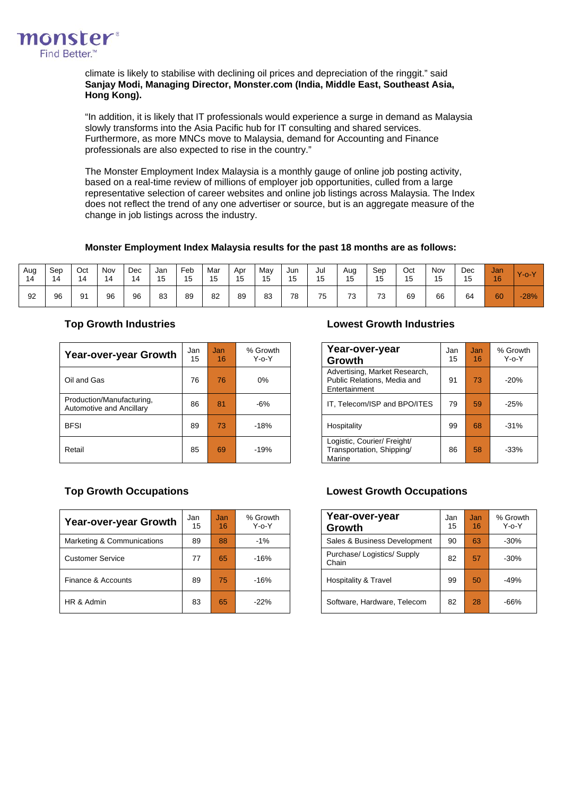

climate is likely to stabilise with declining oil prices and depreciation of the ringgit." said **Sanjay Modi, Managing Director, Monster.com (India, Middle East, Southeast Asia, Hong Kong).**

"In addition, it is likely that IT professionals would experience a surge in demand as Malaysia slowly transforms into the Asia Pacific hub for IT consulting and shared services. Furthermore, as more MNCs move to Malaysia, demand for Accounting and Finance professionals are also expected to rise in the country."

The [Monster Employment Index](http://www.about-monster.com/employment-index) Malaysia is a monthly gauge of online job posting activity, based on a real-time review of millions of employer job opportunities, culled from a large representative selection of career websites and online job listings across Malaysia. The Index does not reflect the trend of any one advertiser or source, but is an aggregate measure of the change in job listings across the industry.

## **Monster Employment Index Malaysia results for the past 18 months are as follows:**

| Aug<br>14 | Sep<br>14 | Oct<br>14 | Nov<br>$\overline{A}$<br>4 | <b>Dec</b><br>14 | Jar<br>15 | Feb<br>15 | Mar<br><b>15</b><br>∪ו | Apr<br>15 | May<br>15 | Jun<br>15 | Jul<br>1 <sub>E</sub><br>◡ | Aug<br>15 | Sep<br>15 | Oct<br>15 | Nov<br>15 | Dec<br>15<br>∪ו | Jan<br>16 | $Y$ -o- $Y$ |
|-----------|-----------|-----------|----------------------------|------------------|-----------|-----------|------------------------|-----------|-----------|-----------|----------------------------|-----------|-----------|-----------|-----------|-----------------|-----------|-------------|
| 92        | 96        | 91        | 96                         | 96               | 83        | 89        | 82                     | 89        | 83        | 78        | 75                         | 73        | 73        | 69        | 66        | 64              | 60        | $-28%$      |

| <b>Year-over-year Growth</b>                          | Jan<br>15 | Jan<br>16 | % Growth<br>$Y-0-Y$ | Year-over-year<br>Growth                                                      | Jan<br>15 | <b>Jan</b><br>16 | % Grov<br>Y-o-\ |
|-------------------------------------------------------|-----------|-----------|---------------------|-------------------------------------------------------------------------------|-----------|------------------|-----------------|
| Oil and Gas                                           | 76        | 76        | $0\%$               | Advertising, Market Research,<br>Public Relations, Media and<br>Entertainment | 91        | 73               | $-20%$          |
| Production/Manufacturing,<br>Automotive and Ancillary | 86        | 81        | -6%                 | IT, Telecom/ISP and BPO/ITES                                                  | 79        | 59               | $-25%$          |
| <b>BFSI</b>                                           | 89        | 73        | $-18%$              | Hospitality                                                                   | 99        | 68               | $-31%$          |
| Retail                                                | 85        | 69        | $-19%$              | Logistic, Courier/ Freight/<br>Transportation, Shipping/<br>Marine            | 86        | 58               | $-33%$          |

# **Top Growth Industries Lowest Growth Industries**

| Year-over-year<br>Growth                                                      | Jan<br>15 | Jan.<br>16 | % Growth<br>$Y - 0 - Y$ |
|-------------------------------------------------------------------------------|-----------|------------|-------------------------|
| Advertising, Market Research,<br>Public Relations, Media and<br>Entertainment | 91        | 73         | $-20%$                  |
| IT, Telecom/ISP and BPO/ITES                                                  | 79        | 59         | $-25%$                  |
| Hospitality                                                                   | 99        | 68         | $-31%$                  |
| Logistic, Courier/ Freight/<br>Transportation, Shipping/<br>Marine            | 86        | 58         | $-33%$                  |

| Year-over-year Growth      | Jan<br>15 | Jan<br>16 | % Growth<br>$Y - 0 - Y$ | Year-over-year<br>Growth           | Jan<br>15 | Jan<br>16 | % Grov<br>Y-o-\ |
|----------------------------|-----------|-----------|-------------------------|------------------------------------|-----------|-----------|-----------------|
| Marketing & Communications | 89        | 88        | $-1\%$                  | Sales & Business Development       | 90        | 63        | $-30%$          |
| <b>Customer Service</b>    | 77        | 65        | $-16%$                  | Purchase/Logistics/Supply<br>Chain | 82        | 57        | $-30%$          |
| Finance & Accounts         | 89        | 75        | $-16%$                  | Hospitality & Travel               | 99        | 50        | $-49%$          |
| HR & Admin                 | 83        | 65        | $-22%$                  | Software, Hardware, Telecom        | 82        | 28        | $-66%$          |

# **Top Growth Occupations Lowest Growth Occupations**

| Year-over-year<br>Growth           | Jan<br>15 | Jan<br>16 | % Growth<br>$Y$ -0- $Y$ |
|------------------------------------|-----------|-----------|-------------------------|
| Sales & Business Development       | 90        | 63        | $-30%$                  |
| Purchase/Logistics/Supply<br>Chain | 82        | 57        | $-30%$                  |
| <b>Hospitality &amp; Travel</b>    | 99        | 50        | $-49%$                  |
| Software, Hardware, Telecom        | 82        | 28        | $-66%$                  |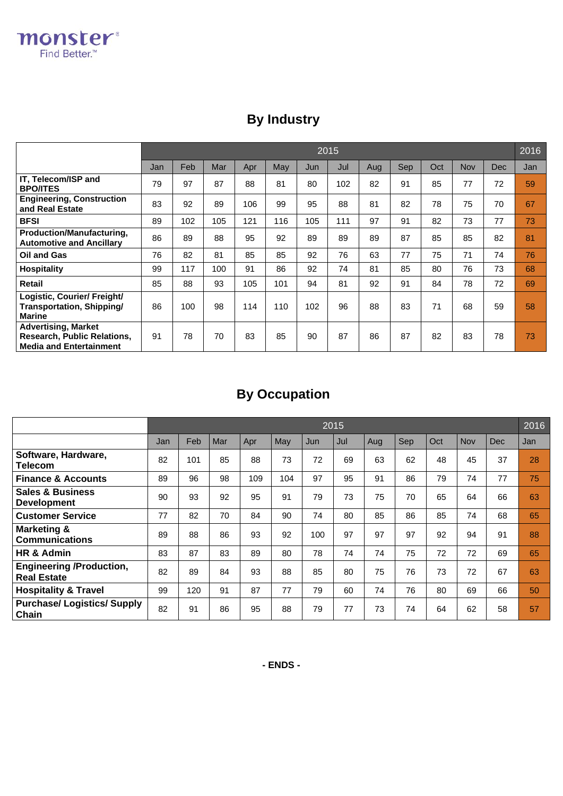# **By Industry**

|                                                                                                    |     | 2016<br>2015 |     |     |     |     |     |     |     |     |     |            |     |
|----------------------------------------------------------------------------------------------------|-----|--------------|-----|-----|-----|-----|-----|-----|-----|-----|-----|------------|-----|
|                                                                                                    | Jan | Feb          | Mar | Apr | May | Jun | Jul | Aug | Sep | Oct | Nov | <b>Dec</b> | Jan |
| IT, Telecom/ISP and<br><b>BPO/ITES</b>                                                             | 79  | 97           | 87  | 88  | 81  | 80  | 102 | 82  | 91  | 85  | 77  | 72         | 59  |
| <b>Engineering, Construction</b><br>and Real Estate                                                | 83  | 92           | 89  | 106 | 99  | 95  | 88  | 81  | 82  | 78  | 75  | 70         | 67  |
| <b>BFSI</b>                                                                                        | 89  | 102          | 105 | 121 | 116 | 105 | 111 | 97  | 91  | 82  | 73  | 77         | 73  |
| Production/Manufacturing,<br><b>Automotive and Ancillarv</b>                                       | 86  | 89           | 88  | 95  | 92  | 89  | 89  | 89  | 87  | 85  | 85  | 82         | 81  |
| <b>Oil and Gas</b>                                                                                 | 76  | 82           | 81  | 85  | 85  | 92  | 76  | 63  | 77  | 75  | 71  | 74         | 76  |
| <b>Hospitality</b>                                                                                 | 99  | 117          | 100 | 91  | 86  | 92  | 74  | 81  | 85  | 80  | 76  | 73         | 68  |
| <b>Retail</b>                                                                                      | 85  | 88           | 93  | 105 | 101 | 94  | 81  | 92  | 91  | 84  | 78  | 72         | 69  |
| Logistic, Courier/ Freight/<br>Transportation, Shipping/<br><b>Marine</b>                          | 86  | 100          | 98  | 114 | 110 | 102 | 96  | 88  | 83  | 71  | 68  | 59         | 58  |
| <b>Advertising, Market</b><br><b>Research, Public Relations,</b><br><b>Media and Entertainment</b> | 91  | 78           | 70  | 83  | 85  | 90  | 87  | 86  | 87  | 82  | 83  | 78         | 73  |

# **By Occupation**

|                                                       |     |     |     |     |     |     | 2015 |     |     |     |     |            | 2016 |
|-------------------------------------------------------|-----|-----|-----|-----|-----|-----|------|-----|-----|-----|-----|------------|------|
|                                                       | Jan | Feb | Mar | Apr | May | Jun | Jul  | Aug | Sep | Oct | Nov | <b>Dec</b> | Jan  |
| Software, Hardware,<br>Telecom                        | 82  | 101 | 85  | 88  | 73  | 72  | 69   | 63  | 62  | 48  | 45  | 37         | 28   |
| <b>Finance &amp; Accounts</b>                         | 89  | 96  | 98  | 109 | 104 | 97  | 95   | 91  | 86  | 79  | 74  | 77         | 75   |
| <b>Sales &amp; Business</b><br><b>Development</b>     | 90  | 93  | 92  | 95  | 91  | 79  | 73   | 75  | 70  | 65  | 64  | 66         | 63   |
| <b>Customer Service</b>                               | 77  | 82  | 70  | 84  | 90  | 74  | 80   | 85  | 86  | 85  | 74  | 68         | 65   |
| <b>Marketing &amp;</b><br><b>Communications</b>       | 89  | 88  | 86  | 93  | 92  | 100 | 97   | 97  | 97  | 92  | 94  | 91         | 88   |
| HR & Admin                                            | 83  | 87  | 83  | 89  | 80  | 78  | 74   | 74  | 75  | 72  | 72  | 69         | 65   |
| <b>Engineering /Production,</b><br><b>Real Estate</b> | 82  | 89  | 84  | 93  | 88  | 85  | 80   | 75  | 76  | 73  | 72  | 67         | 63   |
| <b>Hospitality &amp; Travel</b>                       | 99  | 120 | 91  | 87  | 77  | 79  | 60   | 74  | 76  | 80  | 69  | 66         | 50   |
| <b>Purchase/Logistics/Supply</b><br>Chain             | 82  | 91  | 86  | 95  | 88  | 79  | 77   | 73  | 74  | 64  | 62  | 58         | 57   |